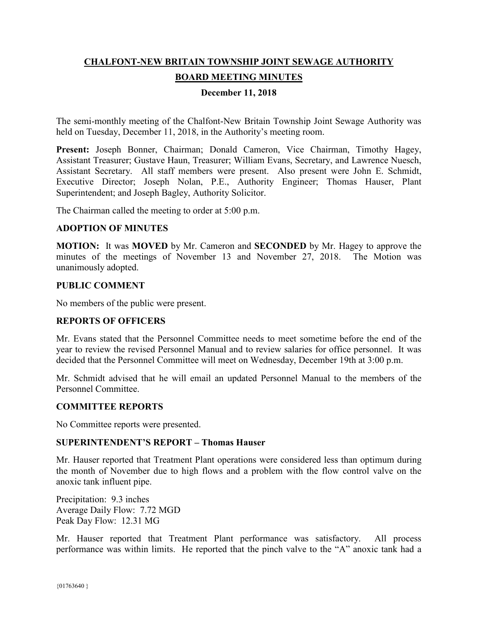# **CHALFONT-NEW BRITAIN TOWNSHIP JOINT SEWAGE AUTHORITY BOARD MEETING MINUTES**

#### **December 11, 2018**

The semi-monthly meeting of the Chalfont-New Britain Township Joint Sewage Authority was held on Tuesday, December 11, 2018, in the Authority's meeting room.

**Present:** Joseph Bonner, Chairman; Donald Cameron, Vice Chairman, Timothy Hagey, Assistant Treasurer; Gustave Haun, Treasurer; William Evans, Secretary, and Lawrence Nuesch, Assistant Secretary. All staff members were present. Also present were John E. Schmidt, Executive Director; Joseph Nolan, P.E., Authority Engineer; Thomas Hauser, Plant Superintendent; and Joseph Bagley, Authority Solicitor.

The Chairman called the meeting to order at 5:00 p.m.

#### **ADOPTION OF MINUTES**

**MOTION:** It was **MOVED** by Mr. Cameron and **SECONDED** by Mr. Hagey to approve the minutes of the meetings of November 13 and November 27, 2018. The Motion was unanimously adopted.

#### **PUBLIC COMMENT**

No members of the public were present.

#### **REPORTS OF OFFICERS**

Mr. Evans stated that the Personnel Committee needs to meet sometime before the end of the year to review the revised Personnel Manual and to review salaries for office personnel. It was decided that the Personnel Committee will meet on Wednesday, December 19th at 3:00 p.m.

Mr. Schmidt advised that he will email an updated Personnel Manual to the members of the Personnel Committee.

#### **COMMITTEE REPORTS**

No Committee reports were presented.

#### **SUPERINTENDENT'S REPORT – Thomas Hauser**

Mr. Hauser reported that Treatment Plant operations were considered less than optimum during the month of November due to high flows and a problem with the flow control valve on the anoxic tank influent pipe.

Precipitation: 9.3 inches Average Daily Flow: 7.72 MGD Peak Day Flow: 12.31 MG

Mr. Hauser reported that Treatment Plant performance was satisfactory. All process performance was within limits. He reported that the pinch valve to the "A" anoxic tank had a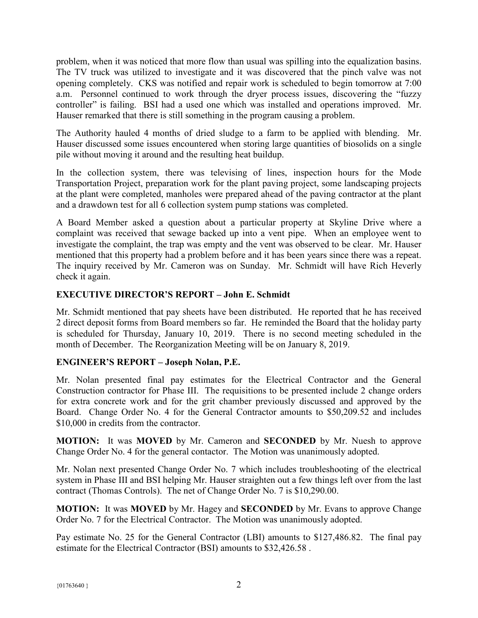problem, when it was noticed that more flow than usual was spilling into the equalization basins. The TV truck was utilized to investigate and it was discovered that the pinch valve was not opening completely. CKS was notified and repair work is scheduled to begin tomorrow at 7:00 a.m. Personnel continued to work through the dryer process issues, discovering the "fuzzy controller" is failing. BSI had a used one which was installed and operations improved. Mr. Hauser remarked that there is still something in the program causing a problem.

The Authority hauled 4 months of dried sludge to a farm to be applied with blending. Mr. Hauser discussed some issues encountered when storing large quantities of biosolids on a single pile without moving it around and the resulting heat buildup.

In the collection system, there was televising of lines, inspection hours for the Mode Transportation Project, preparation work for the plant paving project, some landscaping projects at the plant were completed, manholes were prepared ahead of the paving contractor at the plant and a drawdown test for all 6 collection system pump stations was completed.

A Board Member asked a question about a particular property at Skyline Drive where a complaint was received that sewage backed up into a vent pipe. When an employee went to investigate the complaint, the trap was empty and the vent was observed to be clear. Mr. Hauser mentioned that this property had a problem before and it has been years since there was a repeat. The inquiry received by Mr. Cameron was on Sunday. Mr. Schmidt will have Rich Heverly check it again.

## **EXECUTIVE DIRECTOR'S REPORT – John E. Schmidt**

Mr. Schmidt mentioned that pay sheets have been distributed. He reported that he has received 2 direct deposit forms from Board members so far. He reminded the Board that the holiday party is scheduled for Thursday, January 10, 2019. There is no second meeting scheduled in the month of December. The Reorganization Meeting will be on January 8, 2019.

## **ENGINEER'S REPORT – Joseph Nolan, P.E.**

Mr. Nolan presented final pay estimates for the Electrical Contractor and the General Construction contractor for Phase III. The requisitions to be presented include 2 change orders for extra concrete work and for the grit chamber previously discussed and approved by the Board. Change Order No. 4 for the General Contractor amounts to \$50,209.52 and includes \$10,000 in credits from the contractor.

**MOTION:** It was **MOVED** by Mr. Cameron and **SECONDED** by Mr. Nuesh to approve Change Order No. 4 for the general contactor. The Motion was unanimously adopted.

Mr. Nolan next presented Change Order No. 7 which includes troubleshooting of the electrical system in Phase III and BSI helping Mr. Hauser straighten out a few things left over from the last contract (Thomas Controls). The net of Change Order No. 7 is \$10,290.00.

**MOTION:** It was **MOVED** by Mr. Hagey and **SECONDED** by Mr. Evans to approve Change Order No. 7 for the Electrical Contractor. The Motion was unanimously adopted.

Pay estimate No. 25 for the General Contractor (LBI) amounts to \$127,486.82. The final pay estimate for the Electrical Contractor (BSI) amounts to \$32,426.58 .